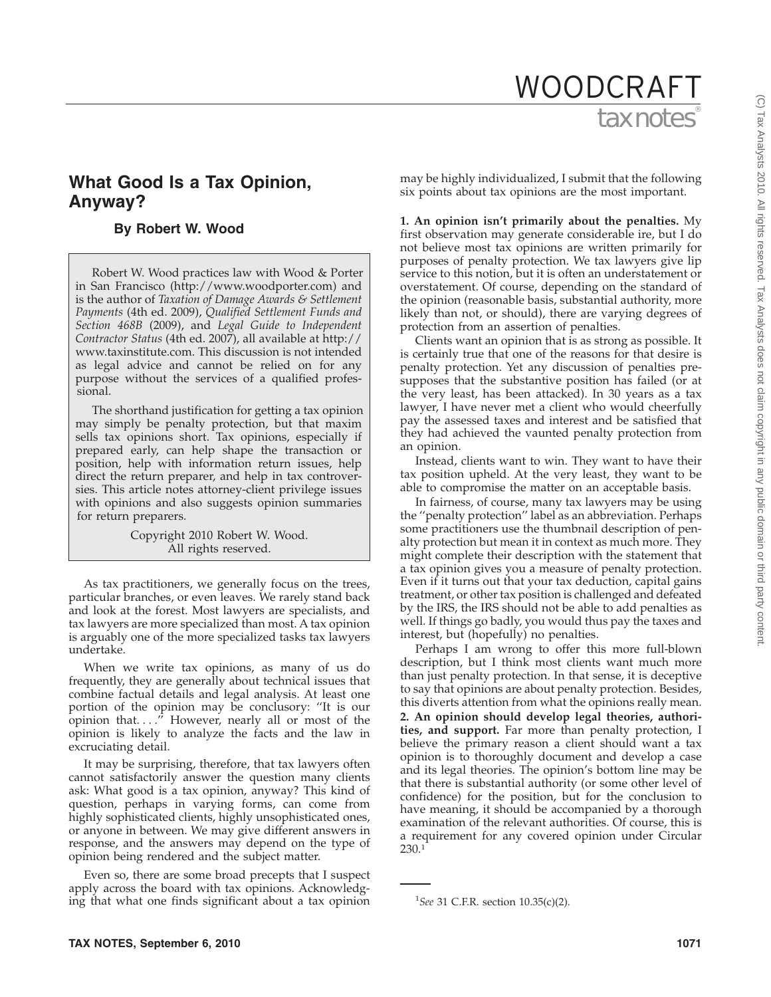# tax notes WOODCRAFT

# **What Good Is a Tax Opinion, Anyway?**

## **By Robert W. Wood**

Robert W. Wood practices law with Wood & Porter in San Francisco (http://www.woodporter.com) and is the author of *Taxation of Damage Awards & Settlement Payments* (4th ed. 2009), *Qualified Settlement Funds and Section 468B* (2009), and *Legal Guide to Independent Contractor Status* (4th ed. 2007), all available at http:// www.taxinstitute.com. This discussion is not intended as legal advice and cannot be relied on for any purpose without the services of a qualified professional.

The shorthand justification for getting a tax opinion may simply be penalty protection, but that maxim sells tax opinions short. Tax opinions, especially if prepared early, can help shape the transaction or position, help with information return issues, help direct the return preparer, and help in tax controversies. This article notes attorney-client privilege issues with opinions and also suggests opinion summaries for return preparers.

> Copyright 2010 Robert W. Wood. All rights reserved.

As tax practitioners, we generally focus on the trees, particular branches, or even leaves. We rarely stand back and look at the forest. Most lawyers are specialists, and tax lawyers are more specialized than most. A tax opinion is arguably one of the more specialized tasks tax lawyers undertake.

When we write tax opinions, as many of us do frequently, they are generally about technical issues that combine factual details and legal analysis. At least one portion of the opinion may be conclusory: ''It is our opinion that. . . .'' However, nearly all or most of the opinion is likely to analyze the facts and the law in excruciating detail.

It may be surprising, therefore, that tax lawyers often cannot satisfactorily answer the question many clients ask: What good is a tax opinion, anyway? This kind of question, perhaps in varying forms, can come from highly sophisticated clients, highly unsophisticated ones, or anyone in between. We may give different answers in response, and the answers may depend on the type of opinion being rendered and the subject matter.

Even so, there are some broad precepts that I suspect apply across the board with tax opinions. Acknowledging that what one finds significant about a tax opinion

may be highly individualized, I submit that the following six points about tax opinions are the most important.

**1. An opinion isn't primarily about the penalties.** My first observation may generate considerable ire, but I do not believe most tax opinions are written primarily for purposes of penalty protection. We tax lawyers give lip service to this notion, but it is often an understatement or overstatement. Of course, depending on the standard of the opinion (reasonable basis, substantial authority, more likely than not, or should), there are varying degrees of protection from an assertion of penalties.

Clients want an opinion that is as strong as possible. It is certainly true that one of the reasons for that desire is penalty protection. Yet any discussion of penalties presupposes that the substantive position has failed (or at the very least, has been attacked). In 30 years as a tax lawyer, I have never met a client who would cheerfully pay the assessed taxes and interest and be satisfied that they had achieved the vaunted penalty protection from an opinion.

Instead, clients want to win. They want to have their tax position upheld. At the very least, they want to be able to compromise the matter on an acceptable basis.

In fairness, of course, many tax lawyers may be using the ''penalty protection'' label as an abbreviation. Perhaps some practitioners use the thumbnail description of penalty protection but mean it in context as much more. They might complete their description with the statement that a tax opinion gives you a measure of penalty protection. Even if it turns out that your tax deduction, capital gains treatment, or other tax position is challenged and defeated by the IRS, the IRS should not be able to add penalties as well. If things go badly, you would thus pay the taxes and interest, but (hopefully) no penalties.

Perhaps I am wrong to offer this more full-blown description, but I think most clients want much more than just penalty protection. In that sense, it is deceptive to say that opinions are about penalty protection. Besides, this diverts attention from what the opinions really mean. **2. An opinion should develop legal theories, authorities, and support.** Far more than penalty protection, I believe the primary reason a client should want a tax opinion is to thoroughly document and develop a case and its legal theories. The opinion's bottom line may be that there is substantial authority (or some other level of confidence) for the position, but for the conclusion to have meaning, it should be accompanied by a thorough examination of the relevant authorities. Of course, this is a requirement for any covered opinion under Circular 230.1

<sup>1</sup> *See* 31 C.F.R. section 10.35(c)(2).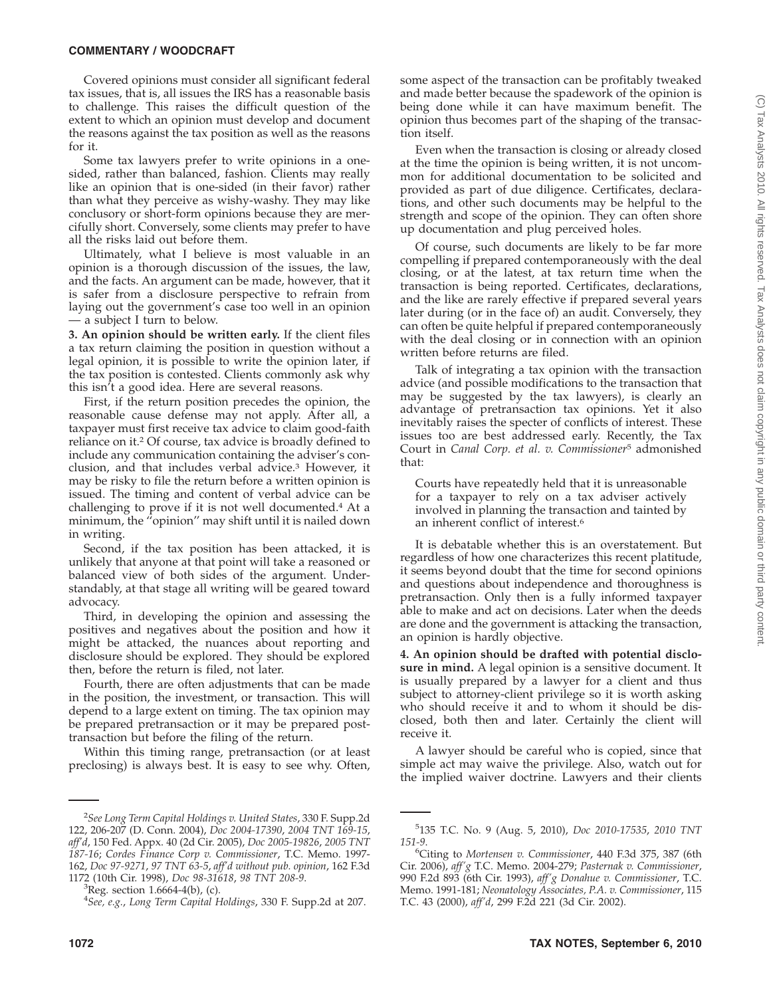#### **COMMENTARY / WOODCRAFT**

Covered opinions must consider all significant federal tax issues, that is, all issues the IRS has a reasonable basis to challenge. This raises the difficult question of the extent to which an opinion must develop and document the reasons against the tax position as well as the reasons for it.

Some tax lawyers prefer to write opinions in a onesided, rather than balanced, fashion. Clients may really like an opinion that is one-sided (in their favor) rather than what they perceive as wishy-washy. They may like conclusory or short-form opinions because they are mercifully short. Conversely, some clients may prefer to have all the risks laid out before them.

Ultimately, what I believe is most valuable in an opinion is a thorough discussion of the issues, the law, and the facts. An argument can be made, however, that it is safer from a disclosure perspective to refrain from laying out the government's case too well in an opinion — a subject I turn to below.

**3. An opinion should be written early.** If the client files a tax return claiming the position in question without a legal opinion, it is possible to write the opinion later, if the tax position is contested. Clients commonly ask why this isn't a good idea. Here are several reasons.

First, if the return position precedes the opinion, the reasonable cause defense may not apply. After all, a taxpayer must first receive tax advice to claim good-faith reliance on it.<sup>2</sup> Of course, tax advice is broadly defined to include any communication containing the adviser's conclusion, and that includes verbal advice.3 However, it may be risky to file the return before a written opinion is issued. The timing and content of verbal advice can be challenging to prove if it is not well documented.4 At a minimum, the ''opinion'' may shift until it is nailed down in writing.

Second, if the tax position has been attacked, it is unlikely that anyone at that point will take a reasoned or balanced view of both sides of the argument. Understandably, at that stage all writing will be geared toward advocacy.

Third, in developing the opinion and assessing the positives and negatives about the position and how it might be attacked, the nuances about reporting and disclosure should be explored. They should be explored then, before the return is filed, not later.

Fourth, there are often adjustments that can be made in the position, the investment, or transaction. This will depend to a large extent on timing. The tax opinion may be prepared pretransaction or it may be prepared posttransaction but before the filing of the return.

Within this timing range, pretransaction (or at least preclosing) is always best. It is easy to see why. Often,

some aspect of the transaction can be profitably tweaked and made better because the spadework of the opinion is being done while it can have maximum benefit. The opinion thus becomes part of the shaping of the transaction itself.

Even when the transaction is closing or already closed at the time the opinion is being written, it is not uncommon for additional documentation to be solicited and provided as part of due diligence. Certificates, declarations, and other such documents may be helpful to the strength and scope of the opinion. They can often shore up documentation and plug perceived holes.

Of course, such documents are likely to be far more compelling if prepared contemporaneously with the deal closing, or at the latest, at tax return time when the transaction is being reported. Certificates, declarations, and the like are rarely effective if prepared several years later during (or in the face of) an audit. Conversely, they can often be quite helpful if prepared contemporaneously with the deal closing or in connection with an opinion written before returns are filed.

Talk of integrating a tax opinion with the transaction advice (and possible modifications to the transaction that may be suggested by the tax lawyers), is clearly an advantage of pretransaction tax opinions. Yet it also inevitably raises the specter of conflicts of interest. These issues too are best addressed early. Recently, the Tax Court in *Canal Corp. et al. v. Commissioner*<sup>5</sup> admonished that:

Courts have repeatedly held that it is unreasonable for a taxpayer to rely on a tax adviser actively involved in planning the transaction and tainted by an inherent conflict of interest.6

It is debatable whether this is an overstatement. But regardless of how one characterizes this recent platitude, it seems beyond doubt that the time for second opinions and questions about independence and thoroughness is pretransaction. Only then is a fully informed taxpayer able to make and act on decisions. Later when the deeds are done and the government is attacking the transaction, an opinion is hardly objective.

**4. An opinion should be drafted with potential disclosure in mind.** A legal opinion is a sensitive document. It is usually prepared by a lawyer for a client and thus subject to attorney-client privilege so it is worth asking who should receive it and to whom it should be disclosed, both then and later. Certainly the client will receive it.

A lawyer should be careful who is copied, since that simple act may waive the privilege. Also, watch out for the implied waiver doctrine. Lawyers and their clients

<sup>2</sup> *See Long Term Capital Holdings v. United States*, 330 F. Supp.2d 122, 206-207 (D. Conn. 2004), *Doc 2004-17390*, *2004 TNT 169-15*, *aff'd*, 150 Fed. Appx. 40 (2d Cir. 2005), *Doc 2005-19826*, *2005 TNT 187-16*; *Cordes Finance Corp v. Commissioner*, T.C. Memo. 1997- 162, *Doc 97-9271*, *97 TNT 63-5*, *aff'd without pub. opinion*, 162 F.3d 1172 (10th Cir. 1998), *Doc 98-31618*, *98 TNT 208-9*. <sup>3</sup>

 ${}^{3}$ Reg. section 1.6664-4(b), (c).

<sup>4</sup> *See, e.g.*, *Long Term Capital Holdings*, 330 F. Supp.2d at 207.

<sup>5</sup> 135 T.C. No. 9 (Aug. 5, 2010), *Doc 2010-17535*, *2010 TNT 151-9*. <sup>6</sup>

Citing to *Mortensen v. Commissioner*, 440 F.3d 375, 387 (6th Cir. 2006), *aff'g* T.C. Memo. 2004-279; *Pasternak v. Commissioner*, 990 F.2d 893 (6th Cir. 1993), *aff'g Donahue v. Commissioner*, T.C. Memo. 1991-181; *Neonatology Associates, P.A. v. Commissioner*, 115 T.C. 43 (2000), *aff'd*, 299 F.2d 221 (3d Cir. 2002).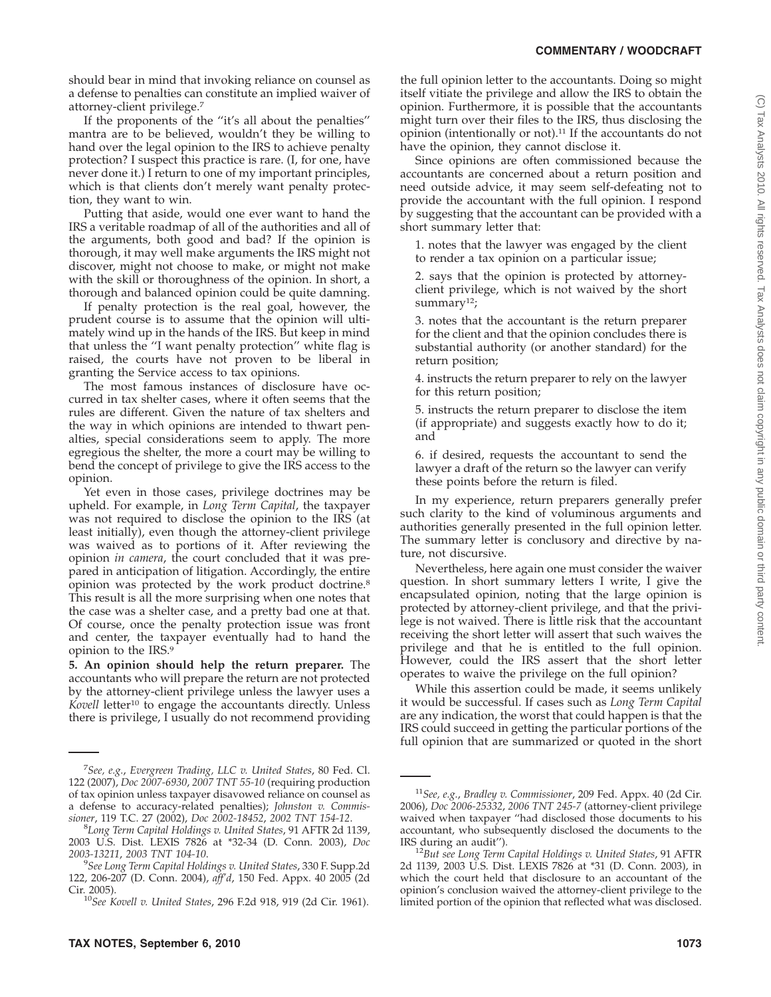(C) Tax Analysts 2010. All rights reserved. Tax Analysts does not claim copyright in any public domain or third party content.(C) Tax Analysts 2010. All rights reserved. Tax Analysts does not claim copyright in any public domain or third party content

should bear in mind that invoking reliance on counsel as a defense to penalties can constitute an implied waiver of attorney-client privilege.7

If the proponents of the ''it's all about the penalties'' mantra are to be believed, wouldn't they be willing to hand over the legal opinion to the IRS to achieve penalty protection? I suspect this practice is rare. (I, for one, have never done it.) I return to one of my important principles, which is that clients don't merely want penalty protection, they want to win.

Putting that aside, would one ever want to hand the IRS a veritable roadmap of all of the authorities and all of the arguments, both good and bad? If the opinion is thorough, it may well make arguments the IRS might not discover, might not choose to make, or might not make with the skill or thoroughness of the opinion. In short, a thorough and balanced opinion could be quite damning.

If penalty protection is the real goal, however, the prudent course is to assume that the opinion will ultimately wind up in the hands of the IRS. But keep in mind that unless the ''I want penalty protection'' white flag is raised, the courts have not proven to be liberal in granting the Service access to tax opinions.

The most famous instances of disclosure have occurred in tax shelter cases, where it often seems that the rules are different. Given the nature of tax shelters and the way in which opinions are intended to thwart penalties, special considerations seem to apply. The more egregious the shelter, the more a court may be willing to bend the concept of privilege to give the IRS access to the opinion.

Yet even in those cases, privilege doctrines may be upheld. For example, in *Long Term Capital*, the taxpayer was not required to disclose the opinion to the IRS (at least initially), even though the attorney-client privilege was waived as to portions of it. After reviewing the opinion *in camera*, the court concluded that it was prepared in anticipation of litigation. Accordingly, the entire opinion was protected by the work product doctrine.<sup>8</sup> This result is all the more surprising when one notes that the case was a shelter case, and a pretty bad one at that. Of course, once the penalty protection issue was front and center, the taxpayer eventually had to hand the opinion to the IRS.9

**5. An opinion should help the return preparer.** The accountants who will prepare the return are not protected by the attorney-client privilege unless the lawyer uses a Kovell letter<sup>10</sup> to engage the accountants directly. Unless there is privilege, I usually do not recommend providing the full opinion letter to the accountants. Doing so might itself vitiate the privilege and allow the IRS to obtain the opinion. Furthermore, it is possible that the accountants might turn over their files to the IRS, thus disclosing the opinion (intentionally or not).11 If the accountants do not have the opinion, they cannot disclose it.

Since opinions are often commissioned because the accountants are concerned about a return position and need outside advice, it may seem self-defeating not to provide the accountant with the full opinion. I respond by suggesting that the accountant can be provided with a short summary letter that:

1. notes that the lawyer was engaged by the client to render a tax opinion on a particular issue;

2. says that the opinion is protected by attorneyclient privilege, which is not waived by the short summary<sup>12</sup>;

3. notes that the accountant is the return preparer for the client and that the opinion concludes there is substantial authority (or another standard) for the return position;

4. instructs the return preparer to rely on the lawyer for this return position;

5. instructs the return preparer to disclose the item (if appropriate) and suggests exactly how to do it; and

6. if desired, requests the accountant to send the lawyer a draft of the return so the lawyer can verify these points before the return is filed.

In my experience, return preparers generally prefer such clarity to the kind of voluminous arguments and authorities generally presented in the full opinion letter. The summary letter is conclusory and directive by nature, not discursive.

Nevertheless, here again one must consider the waiver question. In short summary letters I write, I give the encapsulated opinion, noting that the large opinion is protected by attorney-client privilege, and that the privilege is not waived. There is little risk that the accountant receiving the short letter will assert that such waives the privilege and that he is entitled to the full opinion. However, could the IRS assert that the short letter operates to waive the privilege on the full opinion?

While this assertion could be made, it seems unlikely it would be successful. If cases such as *Long Term Capital* are any indication, the worst that could happen is that the IRS could succeed in getting the particular portions of the full opinion that are summarized or quoted in the short

<sup>7</sup> *See, e.g.*, *Evergreen Trading, LLC v. United States*, 80 Fed. Cl. 122 (2007), *Doc 2007-6930*, *2007 TNT 55-10* (requiring production of tax opinion unless taxpayer disavowed reliance on counsel as a defense to accuracy-related penalties); *Johnston v. Commissioner*, 119 T.C. 27 (2002), *Doc 2002-18452*, *2002 TNT 154-12*. <sup>8</sup>

*Long Term Capital Holdings v. United States*, 91 AFTR 2d 1139, 2003 U.S. Dist. LEXIS 7826 at \*32-34 (D. Conn. 2003), *Doc 2003-13211*, *2003 TNT 104-10*. <sup>9</sup>

*See Long Term Capital Holdings v. United States*, 330 F. Supp.2d 122, 206-207 (D. Conn. 2004), *aff'd*, 150 Fed. Appx. 40 2005 (2d

Cir. 2005). <sup>10</sup>*See Kovell v. United States*, 296 F.2d 918, 919 (2d Cir. 1961).

<sup>11</sup>*See, e.g.*, *Bradley v. Commissioner*, 209 Fed. Appx. 40 (2d Cir. 2006), *Doc 2006-25332*, *2006 TNT 245-7* (attorney-client privilege waived when taxpayer ''had disclosed those documents to his accountant, who subsequently disclosed the documents to the

IRS during an audit''). <sup>12</sup>*But see Long Term Capital Holdings v. United States*, 91 AFTR 2d 1139, 2003 U.S. Dist. LEXIS 7826 at \*31 (D. Conn. 2003), in which the court held that disclosure to an accountant of the opinion's conclusion waived the attorney-client privilege to the limited portion of the opinion that reflected what was disclosed.